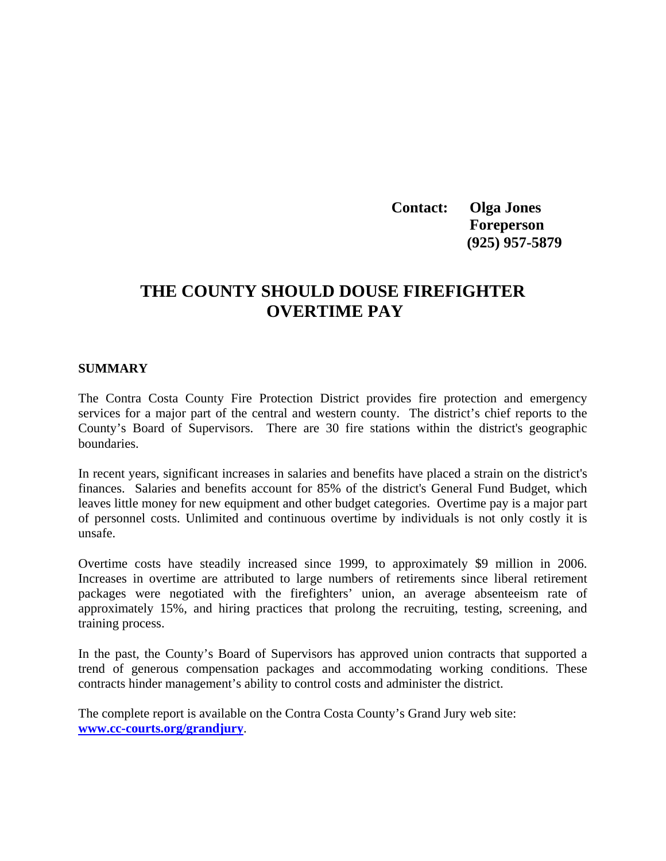**Contact: Olga Jones Foreperson (925) 957-5879** 

## **THE COUNTY SHOULD DOUSE FIREFIGHTER OVERTIME PAY**

# **SUMMARY**

The Contra Costa County Fire Protection District provides fire protection and emergency services for a major part of the central and western county. The district's chief reports to the County's Board of Supervisors. There are 30 fire stations within the district's geographic boundaries.

In recent years, significant increases in salaries and benefits have placed a strain on the district's finances. Salaries and benefits account for 85% of the district's General Fund Budget, which leaves little money for new equipment and other budget categories. Overtime pay is a major part of personnel costs. Unlimited and continuous overtime by individuals is not only costly it is unsafe.

Overtime costs have steadily increased since 1999, to approximately \$9 million in 2006. Increases in overtime are attributed to large numbers of retirements since liberal retirement packages were negotiated with the firefighters' union, an average absenteeism rate of approximately 15%, and hiring practices that prolong the recruiting, testing, screening, and training process.

In the past, the County's Board of Supervisors has approved union contracts that supported a trend of generous compensation packages and accommodating working conditions. These contracts hinder management's ability to control costs and administer the district.

The complete report is available on the Contra Costa County's Grand Jury web site: **[www.cc-courts.org/grandjury](http://www.cc-courts.org/grandjury)**.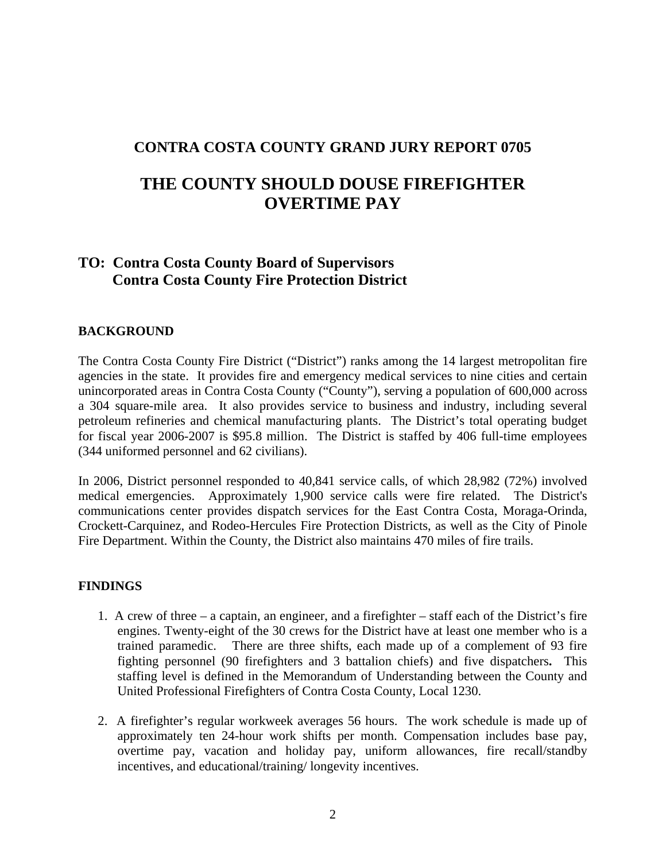### **CONTRA COSTA COUNTY GRAND JURY REPORT 0705**

# **THE COUNTY SHOULD DOUSE FIREFIGHTER OVERTIME PAY**

## **TO: Contra Costa County Board of Supervisors Contra Costa County Fire Protection District**

#### **BACKGROUND**

The Contra Costa County Fire District ("District") ranks among the 14 largest metropolitan fire agencies in the state. It provides fire and emergency medical services to nine cities and certain unincorporated areas in Contra Costa County ("County"), serving a population of 600,000 across a 304 square-mile area. It also provides service to business and industry, including several petroleum refineries and chemical manufacturing plants. The District's total operating budget for fiscal year 2006-2007 is \$95.8 million. The District is staffed by 406 full-time employees (344 uniformed personnel and 62 civilians).

In 2006, District personnel responded to 40,841 service calls, of which 28,982 (72%) involved medical emergencies. Approximately 1,900 service calls were fire related. The District's communications center provides dispatch services for the East Contra Costa, Moraga-Orinda, Crockett-Carquinez, and Rodeo-Hercules Fire Protection Districts, as well as the City of Pinole Fire Department. Within the County, the District also maintains 470 miles of fire trails.

#### **FINDINGS**

- 1. A crew of three a captain, an engineer, and a firefighter staff each of the District's fire engines. Twenty-eight of the 30 crews for the District have at least one member who is a trained paramedic. There are three shifts, each made up of a complement of 93 fire fighting personnel (90 firefighters and 3 battalion chiefs) and five dispatchers**.** This staffing level is defined in the Memorandum of Understanding between the County and United Professional Firefighters of Contra Costa County, Local 1230.
- 2. A firefighter's regular workweek averages 56 hours. The work schedule is made up of approximately ten 24-hour work shifts per month. Compensation includes base pay, overtime pay, vacation and holiday pay, uniform allowances, fire recall/standby incentives, and educational/training/ longevity incentives.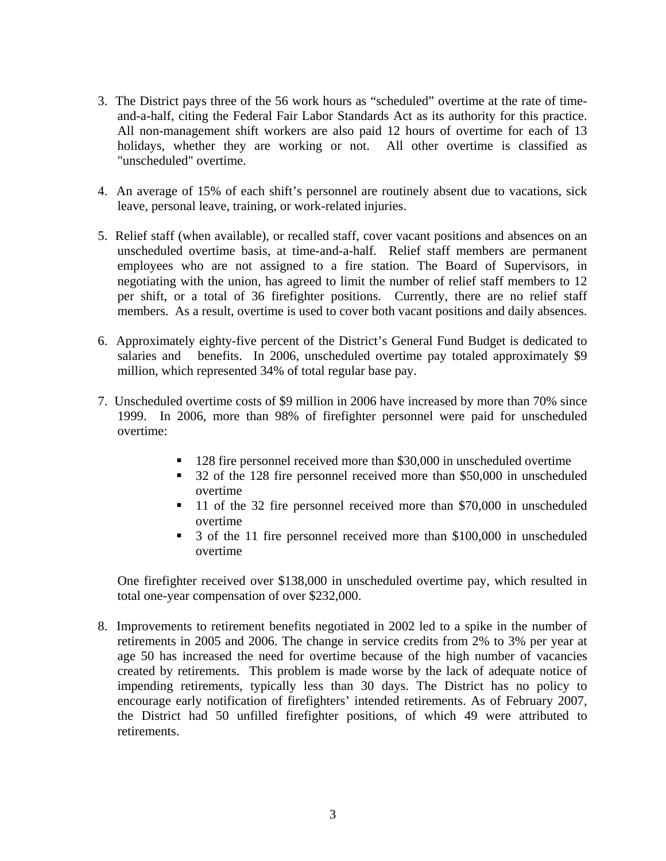- 3. The District pays three of the 56 work hours as "scheduled" overtime at the rate of timeand-a-half, citing the Federal Fair Labor Standards Act as its authority for this practice. All non-management shift workers are also paid 12 hours of overtime for each of 13 holidays, whether they are working or not. All other overtime is classified as "unscheduled" overtime.
- 4. An average of 15% of each shift's personnel are routinely absent due to vacations, sick leave, personal leave, training, or work-related injuries.
- 5. Relief staff (when available), or recalled staff, cover vacant positions and absences on an unscheduled overtime basis, at time-and-a-half. Relief staff members are permanent employees who are not assigned to a fire station. The Board of Supervisors, in negotiating with the union, has agreed to limit the number of relief staff members to 12 per shift, or a total of 36 firefighter positions. Currently, there are no relief staff members. As a result, overtime is used to cover both vacant positions and daily absences.
- 6. Approximately eighty-five percent of the District's General Fund Budget is dedicated to salaries and benefits. In 2006, unscheduled overtime pay totaled approximately \$9 million, which represented 34% of total regular base pay.
- 7. Unscheduled overtime costs of \$9 million in 2006 have increased by more than 70% since 1999. In 2006, more than 98% of firefighter personnel were paid for unscheduled overtime:
	- **128 fire personnel received more than \$30,000 in unscheduled overtime**
	- 32 of the 128 fire personnel received more than \$50,000 in unscheduled overtime
	- 11 of the 32 fire personnel received more than \$70,000 in unscheduled overtime
	- 3 of the 11 fire personnel received more than \$100,000 in unscheduled overtime

One firefighter received over \$138,000 in unscheduled overtime pay, which resulted in total one-year compensation of over \$232,000.

8. Improvements to retirement benefits negotiated in 2002 led to a spike in the number of retirements in 2005 and 2006. The change in service credits from 2% to 3% per year at age 50 has increased the need for overtime because of the high number of vacancies created by retirements. This problem is made worse by the lack of adequate notice of impending retirements, typically less than 30 days. The District has no policy to encourage early notification of firefighters' intended retirements. As of February 2007, the District had 50 unfilled firefighter positions, of which 49 were attributed to retirements.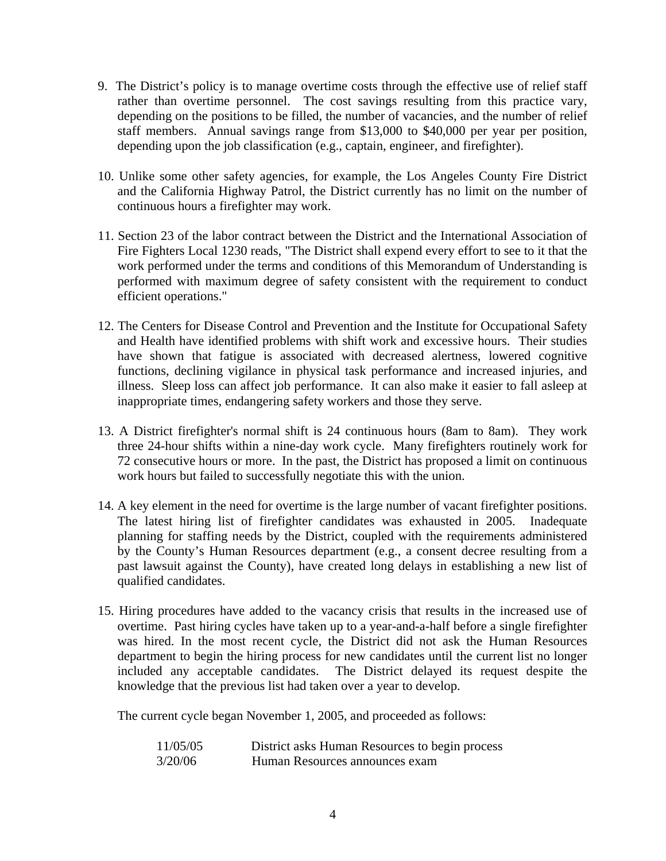- 9. The District's policy is to manage overtime costs through the effective use of relief staff rather than overtime personnel. The cost savings resulting from this practice vary, depending on the positions to be filled, the number of vacancies, and the number of relief staff members. Annual savings range from \$13,000 to \$40,000 per year per position, depending upon the job classification (e.g., captain, engineer, and firefighter).
- 10. Unlike some other safety agencies, for example, the Los Angeles County Fire District and the California Highway Patrol, the District currently has no limit on the number of continuous hours a firefighter may work.
- 11. Section 23 of the labor contract between the District and the International Association of Fire Fighters Local 1230 reads, "The District shall expend every effort to see to it that the work performed under the terms and conditions of this Memorandum of Understanding is performed with maximum degree of safety consistent with the requirement to conduct efficient operations."
- 12. The Centers for Disease Control and Prevention and the Institute for Occupational Safety and Health have identified problems with shift work and excessive hours. Their studies have shown that fatigue is associated with decreased alertness, lowered cognitive functions, declining vigilance in physical task performance and increased injuries, and illness. Sleep loss can affect job performance. It can also make it easier to fall asleep at inappropriate times, endangering safety workers and those they serve.
- 13. A District firefighter's normal shift is 24 continuous hours (8am to 8am). They work three 24-hour shifts within a nine-day work cycle. Many firefighters routinely work for 72 consecutive hours or more. In the past, the District has proposed a limit on continuous work hours but failed to successfully negotiate this with the union.
- 14. A key element in the need for overtime is the large number of vacant firefighter positions. The latest hiring list of firefighter candidates was exhausted in 2005. Inadequate planning for staffing needs by the District, coupled with the requirements administered by the County's Human Resources department (e.g., a consent decree resulting from a past lawsuit against the County), have created long delays in establishing a new list of qualified candidates.
- 15. Hiring procedures have added to the vacancy crisis that results in the increased use of overtime. Past hiring cycles have taken up to a year-and-a-half before a single firefighter was hired. In the most recent cycle, the District did not ask the Human Resources department to begin the hiring process for new candidates until the current list no longer included any acceptable candidates. The District delayed its request despite the knowledge that the previous list had taken over a year to develop.

The current cycle began November 1, 2005, and proceeded as follows:

| 11/05/05 | District asks Human Resources to begin process |
|----------|------------------------------------------------|
| 3/20/06  | Human Resources announces exam                 |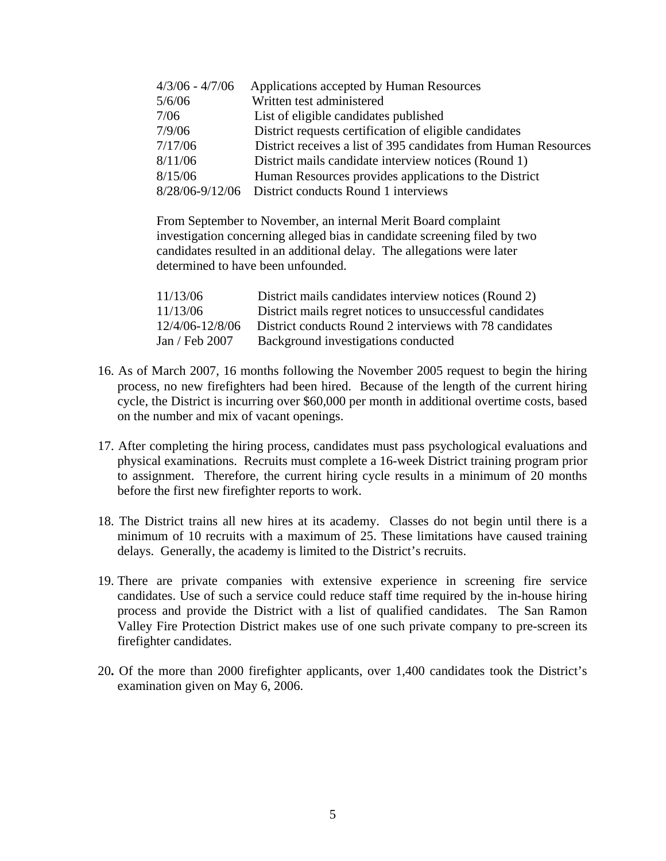| $4/3/06 - 4/7/06$ | Applications accepted by Human Resources                        |
|-------------------|-----------------------------------------------------------------|
| 5/6/06            | Written test administered                                       |
| 7/06              | List of eligible candidates published                           |
| 7/9/06            | District requests certification of eligible candidates          |
| 7/17/06           | District receives a list of 395 candidates from Human Resources |
| 8/11/06           | District mails candidate interview notices (Round 1)            |
| 8/15/06           | Human Resources provides applications to the District           |
|                   | 8/28/06-9/12/06 District conducts Round 1 interviews            |

 From September to November, an internal Merit Board complaint investigation concerning alleged bias in candidate screening filed by two candidates resulted in an additional delay. The allegations were later determined to have been unfounded.

| 11/13/06        | District mails candidates interview notices (Round 2)    |
|-----------------|----------------------------------------------------------|
| 11/13/06        | District mails regret notices to unsuccessful candidates |
| 12/4/06-12/8/06 | District conducts Round 2 interviews with 78 candidates  |
| Jan / Feb 2007  | Background investigations conducted                      |

- 16. As of March 2007, 16 months following the November 2005 request to begin the hiring process, no new firefighters had been hired. Because of the length of the current hiring cycle, the District is incurring over \$60,000 per month in additional overtime costs, based on the number and mix of vacant openings.
- 17. After completing the hiring process, candidates must pass psychological evaluations and physical examinations. Recruits must complete a 16-week District training program prior to assignment. Therefore, the current hiring cycle results in a minimum of 20 months before the first new firefighter reports to work.
- 18. The District trains all new hires at its academy. Classes do not begin until there is a minimum of 10 recruits with a maximum of 25. These limitations have caused training delays. Generally, the academy is limited to the District's recruits.
- 19. There are private companies with extensive experience in screening fire service candidates. Use of such a service could reduce staff time required by the in-house hiring process and provide the District with a list of qualified candidates. The San Ramon Valley Fire Protection District makes use of one such private company to pre-screen its firefighter candidates.
- 20**.** Of the more than 2000 firefighter applicants, over 1,400 candidates took the District's examination given on May 6, 2006.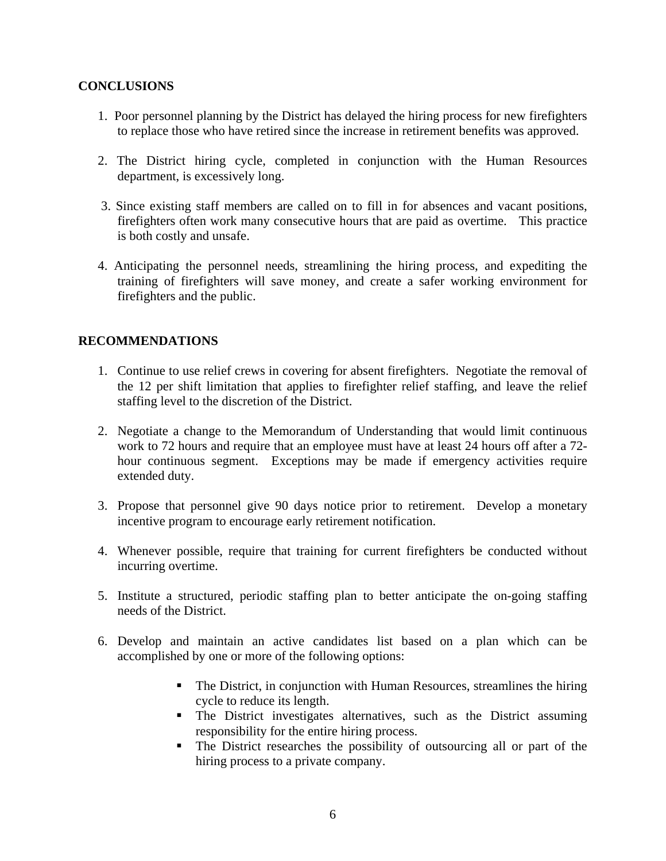#### **CONCLUSIONS**

- 1. Poor personnel planning by the District has delayed the hiring process for new firefighters to replace those who have retired since the increase in retirement benefits was approved.
- 2. The District hiring cycle, completed in conjunction with the Human Resources department, is excessively long.
- 3. Since existing staff members are called on to fill in for absences and vacant positions, firefighters often work many consecutive hours that are paid as overtime. This practice is both costly and unsafe.
- 4. Anticipating the personnel needs, streamlining the hiring process, and expediting the training of firefighters will save money, and create a safer working environment for firefighters and the public.

#### **RECOMMENDATIONS**

- 1. Continue to use relief crews in covering for absent firefighters. Negotiate the removal of the 12 per shift limitation that applies to firefighter relief staffing, and leave the relief staffing level to the discretion of the District.
- 2. Negotiate a change to the Memorandum of Understanding that would limit continuous work to 72 hours and require that an employee must have at least 24 hours off after a 72 hour continuous segment. Exceptions may be made if emergency activities require extended duty.
- 3. Propose that personnel give 90 days notice prior to retirement. Develop a monetary incentive program to encourage early retirement notification.
- 4. Whenever possible, require that training for current firefighters be conducted without incurring overtime.
- 5. Institute a structured, periodic staffing plan to better anticipate the on-going staffing needs of the District.
- 6. Develop and maintain an active candidates list based on a plan which can be accomplished by one or more of the following options:
	- The District, in conjunction with Human Resources, streamlines the hiring cycle to reduce its length.
	- **The District investigates alternatives, such as the District assuming** responsibility for the entire hiring process.
	- The District researches the possibility of outsourcing all or part of the hiring process to a private company.